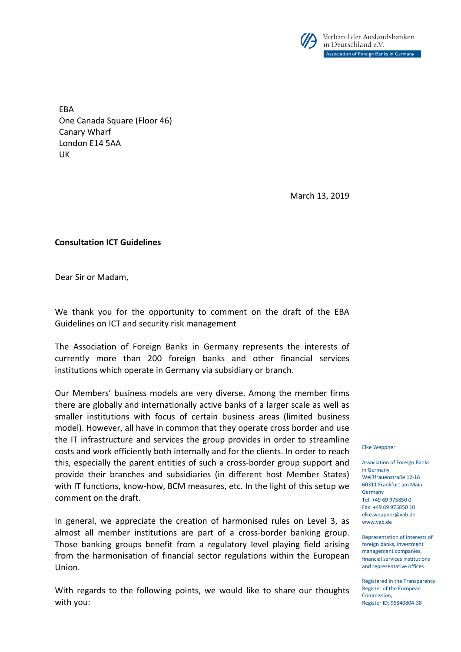

**FRA** One Canada Square (Floor 46) Canary Wharf London E14 5AA UK

March 13, 2019

**Consultation ICT Guidelines**

Dear Sir or Madam,

We thank you for the opportunity to comment on the draft of the EBA Guidelines on ICT and security risk management

The Association of Foreign Banks in Germany represents the interests of currently more than 200 foreign banks and other financial services institutions which operate in Germany via subsidiary or branch.

Our Members' business models are very diverse. Among the member firms there are globally and internationally active banks of a larger scale as well as smaller institutions with focus of certain business areas (limited business model). However, all have in common that they operate cross border and use the IT infrastructure and services the group provides in order to streamline costs and work efficiently both internally and for the clients. In order to reach this, especially the parent entities of such a cross-border group support and provide their branches and subsidiaries (in different host Member States) with IT functions, know-how, BCM measures, etc. In the light of this setup we comment on the draft.

In general, we appreciate the creation of harmonised rules on Level 3, as almost all member institutions are part of a cross-border banking group. Those banking groups benefit from a regulatory level playing field arising from the harmonisation of financial sector regulations within the European Union.

With regards to the following points, we would like to share our thoughts with you:

Elke Weppner

Association of Foreign Banks in Germany Weißfrauenstraße 12-16 60311 Frankfurt am Main Germany Tel: +49 69 975850 0 Fax: +49 69 975850 10 elke.weppner@vab.de www.vab.de

Representation of interests of foreign banks, investment management companies, financial services institutions and representative offices

Registered in the Transparency Register of the European Commission, Register ID: 95840804-38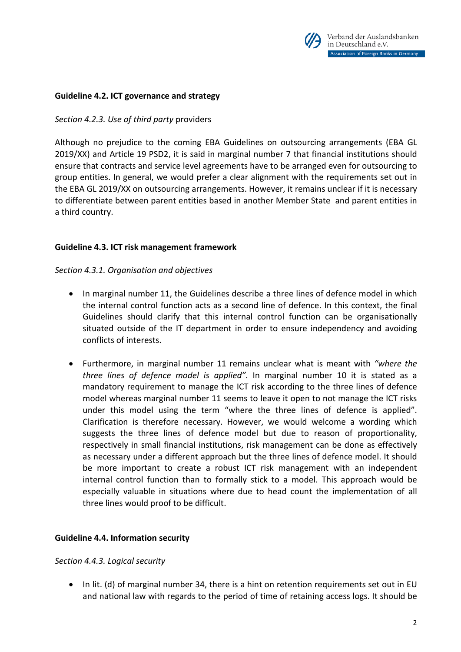

# **Guideline 4.2. ICT governance and strategy**

### *Section 4.2.3. Use of third party* providers

Although no prejudice to the coming EBA Guidelines on outsourcing arrangements (EBA GL 2019/XX) and Article 19 PSD2, it is said in marginal number 7 that financial institutions should ensure that contracts and service level agreements have to be arranged even for outsourcing to group entities. In general, we would prefer a clear alignment with the requirements set out in the EBA GL 2019/XX on outsourcing arrangements. However, it remains unclear if it is necessary to differentiate between parent entities based in another Member State and parent entities in a third country.

## **Guideline 4.3. ICT risk management framework**

#### *Section 4.3.1. Organisation and objectives*

- In marginal number 11, the Guidelines describe a three lines of defence model in which the internal control function acts as a second line of defence. In this context, the final Guidelines should clarify that this internal control function can be organisationally situated outside of the IT department in order to ensure independency and avoiding conflicts of interests.
- Furthermore, in marginal number 11 remains unclear what is meant with *"where the three lines of defence model is applied"*. In marginal number 10 it is stated as a mandatory requirement to manage the ICT risk according to the three lines of defence model whereas marginal number 11 seems to leave it open to not manage the ICT risks under this model using the term "where the three lines of defence is applied". Clarification is therefore necessary. However, we would welcome a wording which suggests the three lines of defence model but due to reason of proportionality, respectively in small financial institutions, risk management can be done as effectively as necessary under a different approach but the three lines of defence model. It should be more important to create a robust ICT risk management with an independent internal control function than to formally stick to a model. This approach would be especially valuable in situations where due to head count the implementation of all three lines would proof to be difficult.

#### **Guideline 4.4. Information security**

#### *Section 4.4.3. Logical security*

• In lit. (d) of marginal number 34, there is a hint on retention requirements set out in EU and national law with regards to the period of time of retaining access logs. It should be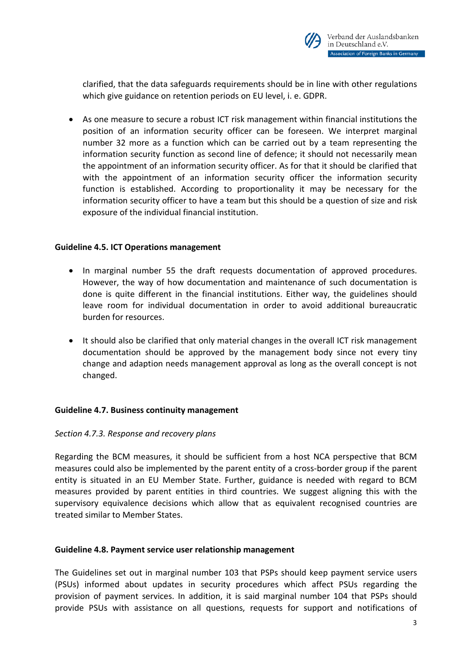

clarified, that the data safeguards requirements should be in line with other regulations which give guidance on retention periods on EU level, i. e. GDPR.

• As one measure to secure a robust ICT risk management within financial institutions the position of an information security officer can be foreseen. We interpret marginal number 32 more as a function which can be carried out by a team representing the information security function as second line of defence; it should not necessarily mean the appointment of an information security officer. As for that it should be clarified that with the appointment of an information security officer the information security function is established. According to proportionality it may be necessary for the information security officer to have a team but this should be a question of size and risk exposure of the individual financial institution.

## **Guideline 4.5. ICT Operations management**

- In marginal number 55 the draft requests documentation of approved procedures. However, the way of how documentation and maintenance of such documentation is done is quite different in the financial institutions. Either way, the guidelines should leave room for individual documentation in order to avoid additional bureaucratic burden for resources.
- It should also be clarified that only material changes in the overall ICT risk management documentation should be approved by the management body since not every tiny change and adaption needs management approval as long as the overall concept is not changed.

#### **Guideline 4.7. Business continuity management**

#### *Section 4.7.3. Response and recovery plans*

Regarding the BCM measures, it should be sufficient from a host NCA perspective that BCM measures could also be implemented by the parent entity of a cross-border group if the parent entity is situated in an EU Member State. Further, guidance is needed with regard to BCM measures provided by parent entities in third countries. We suggest aligning this with the supervisory equivalence decisions which allow that as equivalent recognised countries are treated similar to Member States.

#### **Guideline 4.8. Payment service user relationship management**

The Guidelines set out in marginal number 103 that PSPs should keep payment service users (PSUs) informed about updates in security procedures which affect PSUs regarding the provision of payment services. In addition, it is said marginal number 104 that PSPs should provide PSUs with assistance on all questions, requests for support and notifications of